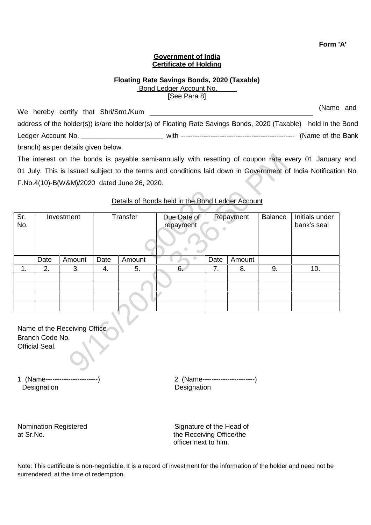**Form 'A'**

## **Government of India Certificate of Holding**

## **Floating Rate Savings Bonds, 2020 (Taxable)** Bond Ledger Account No.

[See Para 8]

We hereby certify that Shri/Smt./Kum (Name and address of the holder(s)) is/are the holder(s) of Floating Rate Savings Bonds, 2020 (Taxable) held in the Bond Ledger Account No. with -------------------------------------------------- (Name of the Bank branch) as per details given below.

|            |                                   |                              |      | F.No.4(10)-B(W&M)/2020 dated June 26, 2020. | Details of Bonds held in the Bond Ledger Account |      |           |                | The interest on the bonds is payable semi-annually with resetting of coupon rate every 01 January ar<br>01 July. This is issued subject to the terms and conditions laid down in Government of India Notification I |  |
|------------|-----------------------------------|------------------------------|------|---------------------------------------------|--------------------------------------------------|------|-----------|----------------|---------------------------------------------------------------------------------------------------------------------------------------------------------------------------------------------------------------------|--|
| Sr.<br>No. | Investment                        |                              |      | Transfer                                    | Due Date of<br>repayment                         |      | Repayment | <b>Balance</b> | Initials under<br>bank's seal                                                                                                                                                                                       |  |
|            | Date                              | Amount                       | Date | Amount                                      |                                                  | Date | Amount    |                |                                                                                                                                                                                                                     |  |
| 1.         | 2.                                | 3.                           | 4.   | 5.                                          | 6.                                               | 7.   | 8.        | 9.             | 10.                                                                                                                                                                                                                 |  |
|            |                                   |                              |      |                                             |                                                  |      |           |                |                                                                                                                                                                                                                     |  |
|            | Branch Code No.<br>Official Seal. | Name of the Receiving Office |      |                                             |                                                  |      |           |                |                                                                                                                                                                                                                     |  |

# Details of Bonds held in the Bond Ledger Account

1. (Name-----------------------) 2. (Name-----------------------) Designation

Nomination Registered Signature of the Head of at Sr.No. **the Receiving Office/the** officer next to him.

Note: This certificate is non-negotiable. It is a record of investment for the information of the holder and need not be surrendered, at the time of redemption.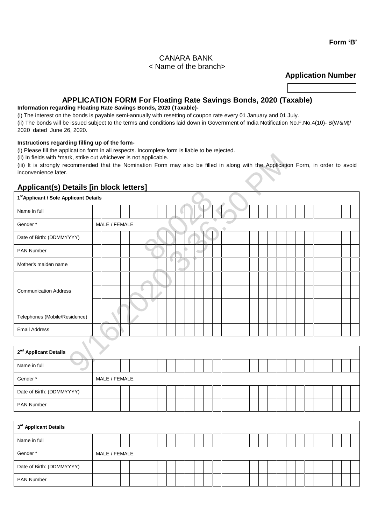# CANARA BANK < Name of the branch>

**Application Number**

# **APPLICATION FORM For Floating Rate Savings Bonds, 2020 (Taxable)**

# **Information regarding Floating Rate Savings Bonds, 2020 (Taxable)-**

(i) The interest on the bonds is payable semi-annually with resetting of coupon rate every 01 January and 01 July.

(ii) The bonds will be issued subject to the terms and conditions laid down in Government of India Notification No.F.No.4(10)- B(W&M)/ 2020 dated June 26, 2020.

### **Instructions regarding filling up of the form-**

(i) Please fill the application form in all respects. Incomplete form is liable to be rejected.

# **Applicant(s) Details [in block letters]**

Date of Birth: (DDMMYYYY)

PAN Number

| (ii) In fields with *mark, strike out whichever is not applicable.<br>(iii) It is strongly recommended that the Nomination Form may also be filled in along with the Application Form, in order to avoid<br>inconvenience later. |  |  |               |  |  |   |  |  |  |  |  |  |  |  |  |  |  |  |  |
|----------------------------------------------------------------------------------------------------------------------------------------------------------------------------------------------------------------------------------|--|--|---------------|--|--|---|--|--|--|--|--|--|--|--|--|--|--|--|--|
| <b>Applicant(s) Details [in block letters]</b>                                                                                                                                                                                   |  |  |               |  |  |   |  |  |  |  |  |  |  |  |  |  |  |  |  |
| 1 <sup>st</sup> Applicant / Sole Applicant Details                                                                                                                                                                               |  |  |               |  |  |   |  |  |  |  |  |  |  |  |  |  |  |  |  |
| Name in full                                                                                                                                                                                                                     |  |  |               |  |  |   |  |  |  |  |  |  |  |  |  |  |  |  |  |
| Gender*                                                                                                                                                                                                                          |  |  | MALE / FEMALE |  |  |   |  |  |  |  |  |  |  |  |  |  |  |  |  |
| Date of Birth: (DDMMYYYY)                                                                                                                                                                                                        |  |  |               |  |  |   |  |  |  |  |  |  |  |  |  |  |  |  |  |
| PAN Number                                                                                                                                                                                                                       |  |  |               |  |  |   |  |  |  |  |  |  |  |  |  |  |  |  |  |
| Mother's maiden name                                                                                                                                                                                                             |  |  |               |  |  | o |  |  |  |  |  |  |  |  |  |  |  |  |  |
| <b>Communication Address</b>                                                                                                                                                                                                     |  |  |               |  |  |   |  |  |  |  |  |  |  |  |  |  |  |  |  |
| Telephones (Mobile/Residence)                                                                                                                                                                                                    |  |  |               |  |  |   |  |  |  |  |  |  |  |  |  |  |  |  |  |
| <b>Email Address</b>                                                                                                                                                                                                             |  |  |               |  |  |   |  |  |  |  |  |  |  |  |  |  |  |  |  |
|                                                                                                                                                                                                                                  |  |  |               |  |  |   |  |  |  |  |  |  |  |  |  |  |  |  |  |
| 2 <sup>nd</sup> Applicant Details                                                                                                                                                                                                |  |  |               |  |  |   |  |  |  |  |  |  |  |  |  |  |  |  |  |
| Name in full<br>۰                                                                                                                                                                                                                |  |  |               |  |  |   |  |  |  |  |  |  |  |  |  |  |  |  |  |
| Gender*                                                                                                                                                                                                                          |  |  | MALE / FEMALE |  |  |   |  |  |  |  |  |  |  |  |  |  |  |  |  |
| Date of Birth: (DDMMYYYY)                                                                                                                                                                                                        |  |  |               |  |  |   |  |  |  |  |  |  |  |  |  |  |  |  |  |
| PAN Number                                                                                                                                                                                                                       |  |  |               |  |  |   |  |  |  |  |  |  |  |  |  |  |  |  |  |
|                                                                                                                                                                                                                                  |  |  |               |  |  |   |  |  |  |  |  |  |  |  |  |  |  |  |  |
| 3rd Applicant Details                                                                                                                                                                                                            |  |  |               |  |  |   |  |  |  |  |  |  |  |  |  |  |  |  |  |
| Name in full                                                                                                                                                                                                                     |  |  |               |  |  |   |  |  |  |  |  |  |  |  |  |  |  |  |  |
| Gender*                                                                                                                                                                                                                          |  |  | MALE / FEMALE |  |  |   |  |  |  |  |  |  |  |  |  |  |  |  |  |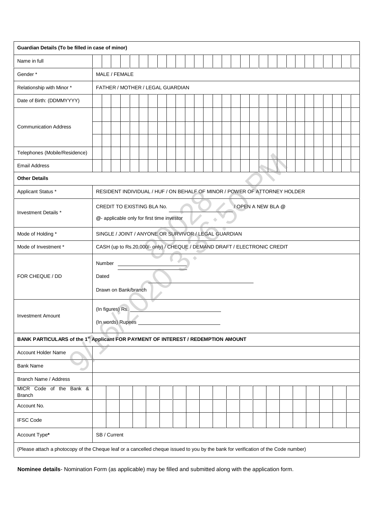| Guardian Details (To be filled in case of minor)                                                                                   |                                                                                                |  |  |  |  |  |  |  |  |  |  |  |
|------------------------------------------------------------------------------------------------------------------------------------|------------------------------------------------------------------------------------------------|--|--|--|--|--|--|--|--|--|--|--|
| Name in full                                                                                                                       |                                                                                                |  |  |  |  |  |  |  |  |  |  |  |
| Gender*                                                                                                                            | MALE / FEMALE                                                                                  |  |  |  |  |  |  |  |  |  |  |  |
| Relationship with Minor *                                                                                                          | FATHER / MOTHER / LEGAL GUARDIAN                                                               |  |  |  |  |  |  |  |  |  |  |  |
| Date of Birth: (DDMMYYYY)                                                                                                          |                                                                                                |  |  |  |  |  |  |  |  |  |  |  |
| <b>Communication Address</b>                                                                                                       |                                                                                                |  |  |  |  |  |  |  |  |  |  |  |
| Telephones (Mobile/Residence)                                                                                                      |                                                                                                |  |  |  |  |  |  |  |  |  |  |  |
| <b>Email Address</b>                                                                                                               |                                                                                                |  |  |  |  |  |  |  |  |  |  |  |
| <b>Other Details</b>                                                                                                               |                                                                                                |  |  |  |  |  |  |  |  |  |  |  |
| Applicant Status *                                                                                                                 | RESIDENT INDIVIDUAL / HUF / ON BEHALF OF MINOR / POWER OF ATTORNEY HOLDER                      |  |  |  |  |  |  |  |  |  |  |  |
| Investment Details *                                                                                                               | CREDIT TO EXISTING BLA No.<br>/ OPEN A NEW BLA @<br>@- applicable only for first time investor |  |  |  |  |  |  |  |  |  |  |  |
| Mode of Holding *                                                                                                                  | SINGLE / JOINT / ANYONE OR SURVIVOR / LEGAL GUARDIAN                                           |  |  |  |  |  |  |  |  |  |  |  |
| Mode of Investment *                                                                                                               | CASH (up to Rs.20,000/- only) / CHEQUE / DEMAND DRAFT / ELECTRONIC CREDIT                      |  |  |  |  |  |  |  |  |  |  |  |
| FOR CHEQUE / DD                                                                                                                    | ۰<br>Number<br>Dated<br>Drawn on Bank/branch                                                   |  |  |  |  |  |  |  |  |  |  |  |
| <b>Investment Amount</b>                                                                                                           | (In figures) Rs.<br>(In words) Rupees                                                          |  |  |  |  |  |  |  |  |  |  |  |
|                                                                                                                                    | BANK PARTICULARS of the 1st Applicant FOR PAYMENT OF INTEREST / REDEMPTION AMOUNT              |  |  |  |  |  |  |  |  |  |  |  |
| Account Holder Name                                                                                                                |                                                                                                |  |  |  |  |  |  |  |  |  |  |  |
| <b>Bank Name</b><br>œ                                                                                                              |                                                                                                |  |  |  |  |  |  |  |  |  |  |  |
| Branch Name / Address                                                                                                              |                                                                                                |  |  |  |  |  |  |  |  |  |  |  |
| MICR Code of the Bank &<br><b>Branch</b>                                                                                           |                                                                                                |  |  |  |  |  |  |  |  |  |  |  |
| Account No.                                                                                                                        |                                                                                                |  |  |  |  |  |  |  |  |  |  |  |
| <b>IFSC Code</b>                                                                                                                   |                                                                                                |  |  |  |  |  |  |  |  |  |  |  |
| Account Type*                                                                                                                      | SB / Current                                                                                   |  |  |  |  |  |  |  |  |  |  |  |
| (Please attach a photocopy of the Cheque leaf or a cancelled cheque issued to you by the bank for verification of the Code number) |                                                                                                |  |  |  |  |  |  |  |  |  |  |  |

**Nominee details**- Nomination Form (as applicable) may be filled and submitted along with the application form.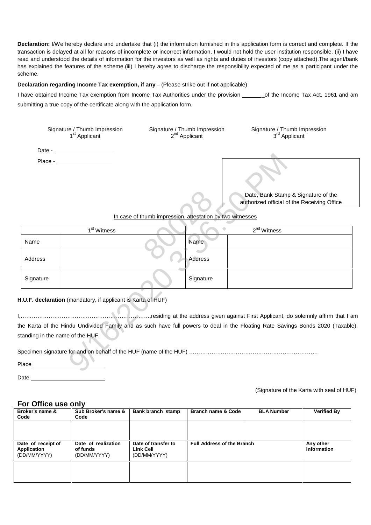**Declaration:** I/We hereby declare and undertake that (i) the information furnished in this application form is correct and complete. If the transaction is delayed at allfor reasons of incomplete or incorrect information, I would not hold the user institution responsible. (ii) I have read and understood the details of information for the investors as well as rights and duties of investors (copy attached). The agent/bank has explained the features of the scheme.(iii) I hereby agree to discharge the responsibility expected of me as a participant under the scheme.

#### **Declaration regarding Income Tax exemption, if any** – (Please strike out if not applicable)

I have obtained Income Tax exemption from Income Tax Authorities under the provision \_\_\_\_\_\_\_of the Income Tax Act, 1961 and am submitting a true copy of the certificate along with the application form.

| Signature / Thumb Impression<br>1 <sup>st</sup> Applicant | Signature / Thumb Impression<br>2 <sup>nd</sup> Applicant | Signature / Thumb Impression<br>3 <sup>rd</sup> Applicant                          |
|-----------------------------------------------------------|-----------------------------------------------------------|------------------------------------------------------------------------------------|
| Date -                                                    |                                                           |                                                                                    |
| Place -                                                   |                                                           | Date, Bank Stamp & Signature of the<br>authorized official of the Receiving Office |

| Place -   |                                                                                                                                                                                                                                                                                                                             |           | Date, Bank Stamp & Signature of the<br>authorized official of the Receiving Office |
|-----------|-----------------------------------------------------------------------------------------------------------------------------------------------------------------------------------------------------------------------------------------------------------------------------------------------------------------------------|-----------|------------------------------------------------------------------------------------|
|           | In case of thumb impression, attestation by two witnesses                                                                                                                                                                                                                                                                   |           |                                                                                    |
|           | 1 <sup>st</sup> Witness                                                                                                                                                                                                                                                                                                     |           | $2nd$ Witness                                                                      |
| Name      |                                                                                                                                                                                                                                                                                                                             | Name      |                                                                                    |
| Address   |                                                                                                                                                                                                                                                                                                                             | Address   |                                                                                    |
| Signature |                                                                                                                                                                                                                                                                                                                             | Signature |                                                                                    |
| Place     | H.U.F. declaration (mandatory, if applicant is Karta of HUF)<br>he Karta of the Hindu Undivided Family and as such have full powers to deal in the Floating Rate Savings Bonds 2020 (Taxable<br>standing in the name of the HUF.<br>Specimen signature for and on behalf of the HUF (name of the HUF) ……………………………………………………… |           |                                                                                    |
|           |                                                                                                                                                                                                                                                                                                                             |           |                                                                                    |

## **H.U.F. declaration** (mandatory, if applicant is Karta of HUF)

Place

Date

(Signature of the Karta with seal of HUF)

# **For Office use only**

| Broker's name &<br>Code                           | Sub Broker's name &<br>Code                     | Bank branch stamp                                       | Branch name & Code                | <b>BLA Number</b> | <b>Verified By</b>       |
|---------------------------------------------------|-------------------------------------------------|---------------------------------------------------------|-----------------------------------|-------------------|--------------------------|
|                                                   |                                                 |                                                         |                                   |                   |                          |
|                                                   |                                                 |                                                         |                                   |                   |                          |
| Date of receipt of<br>Application<br>(DD/MM/YYYY) | Date of realization<br>of funds<br>(DD/MM/YYYY) | Date of transfer to<br><b>Link Cell</b><br>(DD/MM/YYYY) | <b>Full Address of the Branch</b> |                   | Any other<br>information |
|                                                   |                                                 |                                                         |                                   |                   |                          |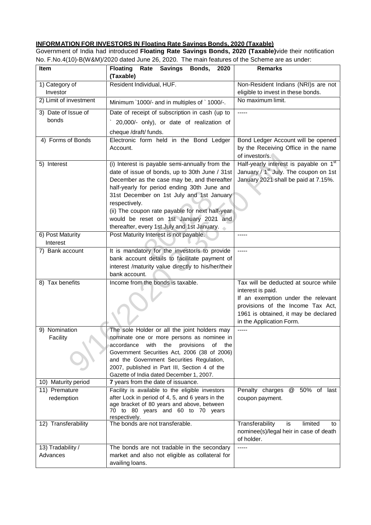# **INFORMATION FOR INVESTORS IN Floating Rate Savings Bonds, 2020 (Taxable)**

Government of India had introduced **Floating Rate Savings Bonds, 2020 (Taxable)**vide their notification No. F.No.4(10)-B(W&M)/2020 dated June 26, 2020. The main features of the Scheme are as under:

| <b>Item</b>                   | Savings Bonds, 2020<br><b>Floating</b><br>Rate<br>(Taxable)                                                                                                                                                                                                                                                                            | <b>Remarks</b>                                                                                                                                                                                           |
|-------------------------------|----------------------------------------------------------------------------------------------------------------------------------------------------------------------------------------------------------------------------------------------------------------------------------------------------------------------------------------|----------------------------------------------------------------------------------------------------------------------------------------------------------------------------------------------------------|
| 1) Category of<br>Investor    | Resident Individual, HUF.                                                                                                                                                                                                                                                                                                              | Non-Resident Indians (NRI)s are not<br>eligible to invest in these bonds.                                                                                                                                |
| 2) Limit of investment        | Minimum `1000/- and in multiples of `1000/-.                                                                                                                                                                                                                                                                                           | No maximum limit.                                                                                                                                                                                        |
| 3) Date of Issue of           | Date of receipt of subscription in cash (up to                                                                                                                                                                                                                                                                                         | -----                                                                                                                                                                                                    |
| bonds                         | 20,000/- only), or date of realization of                                                                                                                                                                                                                                                                                              |                                                                                                                                                                                                          |
|                               | cheque /draft/ funds.                                                                                                                                                                                                                                                                                                                  |                                                                                                                                                                                                          |
| 4) Forms of Bonds             | Electronic form held in the Bond Ledger<br>Account.                                                                                                                                                                                                                                                                                    | Bond Ledger Account will be opened<br>by the Receiving Office in the name<br>of investor/s.                                                                                                              |
| 5) Interest                   | (i) Interest is payable semi-annually from the<br>date of issue of bonds, up to 30th June / 31st<br>December as the case may be, and thereafter<br>half-yearly for period ending 30th June and<br>31st December on 1st July and 1st January<br>respectively.<br>(ii) The coupon rate payable for next half-year                        | Half-yearly interest is payable on 1 <sup>st</sup><br>January / 1 <sup>st</sup> July. The coupon on 1st<br>January 2021 shall be paid at 7.15%.                                                          |
|                               | would be reset on 1st January 2021 and                                                                                                                                                                                                                                                                                                 |                                                                                                                                                                                                          |
| 6) Post Maturity              | thereafter, every 1st July and 1st January.<br>Post Maturity Interest is not payable.                                                                                                                                                                                                                                                  | -----                                                                                                                                                                                                    |
| Interest                      |                                                                                                                                                                                                                                                                                                                                        |                                                                                                                                                                                                          |
| 7) Bank account               | It is mandatory for the investor/s to provide<br>bank account details to facilitate payment of<br>interest /maturity value directly to his/her/their<br>bank account.                                                                                                                                                                  | -----                                                                                                                                                                                                    |
| 8) Tax benefits               | Income from the bonds is taxable.                                                                                                                                                                                                                                                                                                      | Tax will be deducted at source while<br>interest is paid.<br>If an exemption under the relevant<br>provisions of the Income Tax Act,<br>1961 is obtained, it may be declared<br>in the Application Form. |
| 9) Nomination<br>Facility     | The sole Holder or all the joint holders may<br>nominate one or more persons as nominee in<br>accordance<br>with the<br>provisions<br>of the<br>Government Securities Act, 2006 (38 of 2006)<br>and the Government Securities Regulation,<br>2007, published in Part III, Section 4 of the<br>Gazette of India dated December 1, 2007. | -----                                                                                                                                                                                                    |
| 10) Maturity period           | 7 years from the date of issuance.                                                                                                                                                                                                                                                                                                     |                                                                                                                                                                                                          |
| 11) Premature<br>redemption   | Facility is available to the eligible investors<br>after Lock in period of 4, 5, and 6 years in the<br>age bracket of 80 years and above, between<br>70 to 80 years and 60 to 70 years                                                                                                                                                 | Penalty charges<br>50% of last<br>@<br>coupon payment.                                                                                                                                                   |
| 12) Transferability           | respectively.<br>The bonds are not transferable.                                                                                                                                                                                                                                                                                       | Transferability<br>is<br>limited<br>to<br>nominee(s)/legal heir in case of death<br>of holder.                                                                                                           |
| 13) Tradability /<br>Advances | The bonds are not tradable in the secondary<br>market and also not eligible as collateral for<br>availing loans.                                                                                                                                                                                                                       | -----                                                                                                                                                                                                    |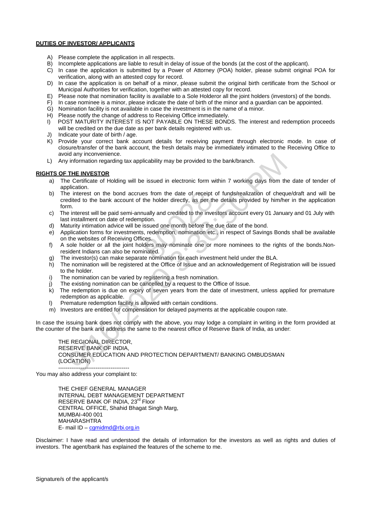#### **DUTIES OF INVESTOR/ APPLICANTS**

- A) Please complete the application in all respects.
- B) Incomplete applications are liable to result in delay of issue of the bonds (at the cost of the applicant).
- C) In case the application is submitted by a Power of Attorney (POA) holder, please submit original POA for verification, along with an attested copy for record.
- D) In case the application is on behalf of a minor, please submit the original birth certificate from the School or Municipal Authorities for verification, together with an attested copy for record.
- E) Please note that nomination facility is available to a Sole Holderor all the joint holders (investors) of the bonds.
- F) In case nominee is a minor, please indicate the date of birth of the minor and a guardian can be appointed.
- G) Nomination facility is not available in case the investment is in the name of a minor.
- H) Please notify the change of address to Receiving Office immediately.
- I) POST MATURITY INTEREST IS NOT PAYABLE ON THESE BONDS. The interest and redemption proceeds will be credited on the due date as per bank details registered with us.
- J) Indicate your date of birth / age.
- K) Provide your correct bank account details for receiving payment through electronic mode. In case of closure/transfer of the bank account, the fresh details may be immediately intimated to the Receiving Office to avoid any inconvenience.
- L) Any information regarding tax applicability may be provided to the bank/branch.

#### **RIGHTS OF THE INVESTOR**

- a) The Certificate of Holding will be issued in electronic form within 7 working days from the date of tender of application.
- b) The interest on the bond accrues from the date of receipt of funds/realization of cheque/draft and will be credited to the bank account of the holder directly, as per the details provided by him/her in the application form. es from the date of receipt of<br>the holder directly, as per the<br>pually and credited to the invest<br>ption.<br>issued one month before the du<br>s, redemption, nomination etc.,<br>ces.<br>lders may nominate one or me<br>inated.<br>tte nominatio
- c) The interest will be paid semi-annually and credited to the investors account every 01 January and 01 July with last installment on date of redemption.
- d) Maturity intimation advice will be issued one month before the due date of the bond.
- e) Application forms for investments, redemption, nomination etc., in respect of Savings Bonds shall be available on the websites of Receiving Offices.
- f) A sole holder or all the joint holders may nominate one or more nominees to the rights of the bonds.Nonresident Indians can also be nominated.
- g) The investor(s) can make separate nomination for each investment held under the BLA.
- h) The nomination will be registered at the Office of Issue and an acknowledgement of Registration will be issued to the holder.
- i) The nomination can be varied by registering a fresh nomination.
- j) The existing nomination can be cancelled by a request to the Office of Issue.
- k) The redemption is due on expiry of seven years from the date of investment, unless applied for premature redemption as applicable.
- l) Premature redemption facility is allowed with certain conditions.
- m) Investors are entitled for compensation for delayed payments at the applicable coupon rate.

In case the issuing bank does not comply with the above, you may lodge a complaint in writing in the form provided at the counter of the bank and address the same to the nearest office of Reserve Bank of India, as under:

THE REGIONAL DIRECTOR, RESERVE BANK OF INDIA, CONSUMER EDUCATION AND PROTECTION DEPARTMENT/ BANKING OMBUDSMAN (LOCATION) ------------------------------------- id any inconvenince.<br>
Information regarding tax applicability may be provided to the bank/branch.<br>
THE INVESTOR<br>
Dictation.<br>
THE INVESTOR<br>
Dictations<br>
Information regarding will be issued in electronic form within 7 workin

You may also address your complaint to:

THE CHIEF GENERAL MANAGER INTERNAL DEBT MANAGEMENT DEPARTMENT RESERVE BANK OF INDIA, 23<sup>rd</sup> Floor CENTRAL OFFICE, Shahid Bhagat Singh Marg, MUMBAI-400 001 MAHARASHTRA E- mail ID – cgmidmd@rbi.org.in

Disclaimer: I have read and understood the details of information for the investors as well as rights and duties of investors. The agent/bank has explained the features of the scheme to me.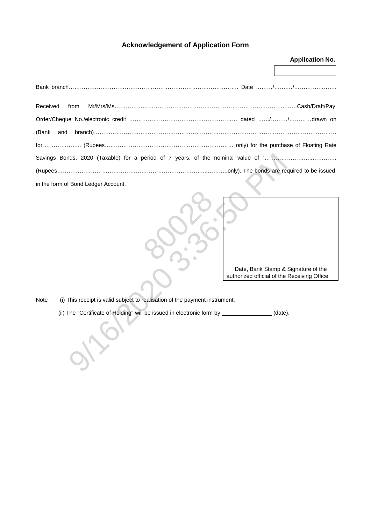# **Acknowledgement of Application Form**

|                                                                                      | <b>Application No.</b>                                                             |
|--------------------------------------------------------------------------------------|------------------------------------------------------------------------------------|
|                                                                                      |                                                                                    |
|                                                                                      |                                                                                    |
| Received<br>from                                                                     |                                                                                    |
|                                                                                      |                                                                                    |
| (Bank<br>and                                                                         |                                                                                    |
|                                                                                      |                                                                                    |
|                                                                                      |                                                                                    |
|                                                                                      |                                                                                    |
| in the form of Bond Ledger Account.                                                  |                                                                                    |
| Note:<br>(i) This receipt is valid subject to realisation of the payment instrument. | Date, Bank Stamp & Signature of the<br>authorized official of the Receiving Office |
|                                                                                      |                                                                                    |
| (ii) The "Certificate of Holding" will be issued in electronic form by __________    | (date).                                                                            |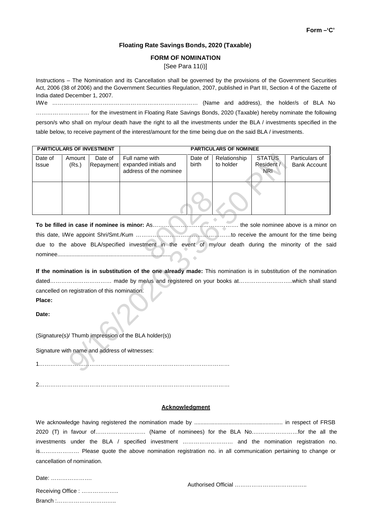### **Floating Rate Savings Bonds, 2020 (Taxable)**

#### **FORM OF NOMINATION**

[See Para 11(i)]

Instructions – The Nomination and its Cancellation shall be governed by the provisions of the Government Securities Act, 2006 (38 of 2006) and the Government Securities Regulation, 2007, published in Part III, Section 4 of the Gazette of India dated December 1, 2007.

I/We …………………………………………………………………… (Name and address), the holder/s ofBLA No …………………..…… for the investment in Floating Rate Savings Bonds, 2020 (Taxable) hereby nominate the following person/s who shall on my/our death have the right to all the investments under the BLA / investments specified in the table below, to receive payment of the interest/amount for the time being due on the said BLA / investments.

| Amount                               | Date of   | Full name with                   | Date of                                                                                                                                                                                                                           | Relationship | <b>STATUS</b> | Particulars of                                                                                                                                                                                                                                                              |  |  |  |  |  |
|--------------------------------------|-----------|----------------------------------|-----------------------------------------------------------------------------------------------------------------------------------------------------------------------------------------------------------------------------------|--------------|---------------|-----------------------------------------------------------------------------------------------------------------------------------------------------------------------------------------------------------------------------------------------------------------------------|--|--|--|--|--|
| (Rs.)                                | Repayment | expanded initials and            | birth                                                                                                                                                                                                                             | to holder    | Resident /    | <b>Bank Account</b>                                                                                                                                                                                                                                                         |  |  |  |  |  |
|                                      |           |                                  |                                                                                                                                                                                                                                   |              |               |                                                                                                                                                                                                                                                                             |  |  |  |  |  |
|                                      |           |                                  |                                                                                                                                                                                                                                   |              |               |                                                                                                                                                                                                                                                                             |  |  |  |  |  |
|                                      |           |                                  |                                                                                                                                                                                                                                   |              |               |                                                                                                                                                                                                                                                                             |  |  |  |  |  |
|                                      |           |                                  |                                                                                                                                                                                                                                   |              |               |                                                                                                                                                                                                                                                                             |  |  |  |  |  |
|                                      |           |                                  |                                                                                                                                                                                                                                   |              |               |                                                                                                                                                                                                                                                                             |  |  |  |  |  |
|                                      |           |                                  |                                                                                                                                                                                                                                   |              |               |                                                                                                                                                                                                                                                                             |  |  |  |  |  |
| the sole nominee above is a minor on |           |                                  |                                                                                                                                                                                                                                   |              |               |                                                                                                                                                                                                                                                                             |  |  |  |  |  |
|                                      |           |                                  |                                                                                                                                                                                                                                   |              |               |                                                                                                                                                                                                                                                                             |  |  |  |  |  |
|                                      |           |                                  |                                                                                                                                                                                                                                   |              |               |                                                                                                                                                                                                                                                                             |  |  |  |  |  |
|                                      |           |                                  |                                                                                                                                                                                                                                   |              |               |                                                                                                                                                                                                                                                                             |  |  |  |  |  |
|                                      |           |                                  |                                                                                                                                                                                                                                   |              |               |                                                                                                                                                                                                                                                                             |  |  |  |  |  |
|                                      |           |                                  |                                                                                                                                                                                                                                   |              |               |                                                                                                                                                                                                                                                                             |  |  |  |  |  |
|                                      |           |                                  |                                                                                                                                                                                                                                   |              |               |                                                                                                                                                                                                                                                                             |  |  |  |  |  |
|                                      |           |                                  |                                                                                                                                                                                                                                   |              |               |                                                                                                                                                                                                                                                                             |  |  |  |  |  |
|                                      |           |                                  |                                                                                                                                                                                                                                   |              |               |                                                                                                                                                                                                                                                                             |  |  |  |  |  |
|                                      |           |                                  |                                                                                                                                                                                                                                   |              |               |                                                                                                                                                                                                                                                                             |  |  |  |  |  |
|                                      |           |                                  |                                                                                                                                                                                                                                   |              |               |                                                                                                                                                                                                                                                                             |  |  |  |  |  |
|                                      |           |                                  |                                                                                                                                                                                                                                   |              |               |                                                                                                                                                                                                                                                                             |  |  |  |  |  |
|                                      |           |                                  |                                                                                                                                                                                                                                   |              |               |                                                                                                                                                                                                                                                                             |  |  |  |  |  |
|                                      |           |                                  |                                                                                                                                                                                                                                   |              |               |                                                                                                                                                                                                                                                                             |  |  |  |  |  |
|                                      |           |                                  |                                                                                                                                                                                                                                   |              |               |                                                                                                                                                                                                                                                                             |  |  |  |  |  |
|                                      |           |                                  |                                                                                                                                                                                                                                   |              |               |                                                                                                                                                                                                                                                                             |  |  |  |  |  |
|                                      |           |                                  |                                                                                                                                                                                                                                   |              |               |                                                                                                                                                                                                                                                                             |  |  |  |  |  |
|                                      |           | <b>PARTICULARS OF INVESTMENT</b> | address of the nominee<br>To be filled in case if nominee is minor: As<br>cancelled on registration of this nomination.<br>(Signature(s)/ Thumb impression of the BLA holder(s))<br>Signature with name and address of witnesses: |              |               | <b>PARTICULARS OF NOMINEE</b><br><b>NRI</b><br>due to the above BLA/specified investment in the event of my/our death during the minority of the said<br>If the nomination is in substitution of the one already made: This nomination is in substitution of the nomination |  |  |  |  |  |

2…………………………………………………………………………………………

### **Acknowledgment**

We acknowledge having registered the nomination made by ......................................................... in respect of FRSB 2020 (T) in favour of……………………… (Name of nominees) for the BLA No.……………………for the all the investments under the BLA / specified investment ……………………… and the nomination registration no. is………………… Please quote the above nomination registration no. in all communication pertaining to change or cancellation of nomination.

Date: ………………….

Authorised Official ………………….……………..

| Receiving Office: |  |
|-------------------|--|
|                   |  |